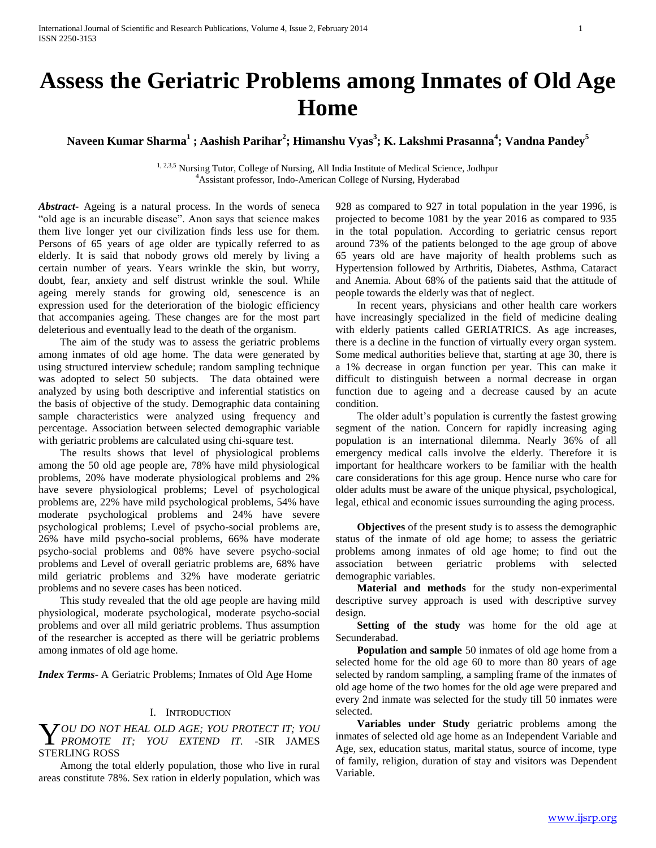**Naveen Kumar Sharma<sup>1</sup> ; Aashish Parihar<sup>2</sup> ; Himanshu Vyas<sup>3</sup> ; K. Lakshmi Prasanna<sup>4</sup> ; Vandna Pandey<sup>5</sup>**

<sup>1, 2,3,5</sup> Nursing Tutor, College of Nursing, All India Institute of Medical Science, Jodhpur <sup>4</sup>Assistant professor, Indo-American College of Nursing, Hyderabad

*Abstract***-** Ageing is a natural process. In the words of seneca "old age is an incurable disease". Anon says that science makes them live longer yet our civilization finds less use for them. Persons of 65 years of age older are typically referred to as elderly. It is said that nobody grows old merely by living a certain number of years. Years wrinkle the skin, but worry, doubt, fear, anxiety and self distrust wrinkle the soul. While ageing merely stands for growing old, senescence is an expression used for the deterioration of the biologic efficiency that accompanies ageing. These changes are for the most part deleterious and eventually lead to the death of the organism.

 The aim of the study was to assess the geriatric problems among inmates of old age home. The data were generated by using structured interview schedule; random sampling technique was adopted to select 50 subjects. The data obtained were analyzed by using both descriptive and inferential statistics on the basis of objective of the study. Demographic data containing sample characteristics were analyzed using frequency and percentage. Association between selected demographic variable with geriatric problems are calculated using chi-square test.

 The results shows that level of physiological problems among the 50 old age people are, 78% have mild physiological problems, 20% have moderate physiological problems and 2% have severe physiological problems; Level of psychological problems are, 22% have mild psychological problems, 54% have moderate psychological problems and 24% have severe psychological problems; Level of psycho-social problems are, 26% have mild psycho-social problems, 66% have moderate psycho-social problems and 08% have severe psycho-social problems and Level of overall geriatric problems are, 68% have mild geriatric problems and 32% have moderate geriatric problems and no severe cases has been noticed.

 This study revealed that the old age people are having mild physiological, moderate psychological, moderate psycho-social problems and over all mild geriatric problems. Thus assumption of the researcher is accepted as there will be geriatric problems among inmates of old age home.

*Index Terms*- A Geriatric Problems; Inmates of Old Age Home

### I. INTRODUCTION

# *OU DO NOT HEAL OLD AGE; YOU PROTECT IT; YOU*  **Y** OU DO NOT HEAL OLD AGE; YOU PROTECT IT; YOU PROTECT IT; YOU EXTEND IT. - SIR JAMES STERLING ROSS

 Among the total elderly population, those who live in rural areas constitute 78%. Sex ration in elderly population, which was 928 as compared to 927 in total population in the year 1996, is projected to become 1081 by the year 2016 as compared to 935 in the total population. According to geriatric census report around 73% of the patients belonged to the age group of above 65 years old are have majority of health problems such as Hypertension followed by Arthritis, Diabetes, Asthma, Cataract and Anemia. About 68% of the patients said that the attitude of people towards the elderly was that of neglect.

 In recent years, physicians and other health care workers have increasingly specialized in the field of medicine dealing with elderly patients called GERIATRICS. As age increases, there is a decline in the function of virtually every organ system. Some medical authorities believe that, starting at age 30, there is a 1% decrease in organ function per year. This can make it difficult to distinguish between a normal decrease in organ function due to ageing and a decrease caused by an acute condition.

 The older adult's population is currently the fastest growing segment of the nation. Concern for rapidly increasing aging population is an international dilemma. Nearly 36% of all emergency medical calls involve the elderly. Therefore it is important for healthcare workers to be familiar with the health care considerations for this age group. Hence nurse who care for older adults must be aware of the unique physical, psychological, legal, ethical and economic issues surrounding the aging process.

 **Objectives** of the present study is to assess the demographic status of the inmate of old age home; to assess the geriatric problems among inmates of old age home; to find out the association between geriatric problems with selected demographic variables.

 **Material and methods** for the study non-experimental descriptive survey approach is used with descriptive survey design.

 **Setting of the study** was home for the old age at Secunderabad.

 **Population and sample** 50 inmates of old age home from a selected home for the old age 60 to more than 80 years of age selected by random sampling, a sampling frame of the inmates of old age home of the two homes for the old age were prepared and every 2nd inmate was selected for the study till 50 inmates were selected.

 **Variables under Study** geriatric problems among the inmates of selected old age home as an Independent Variable and Age, sex, education status, marital status, source of income, type of family, religion, duration of stay and visitors was Dependent Variable.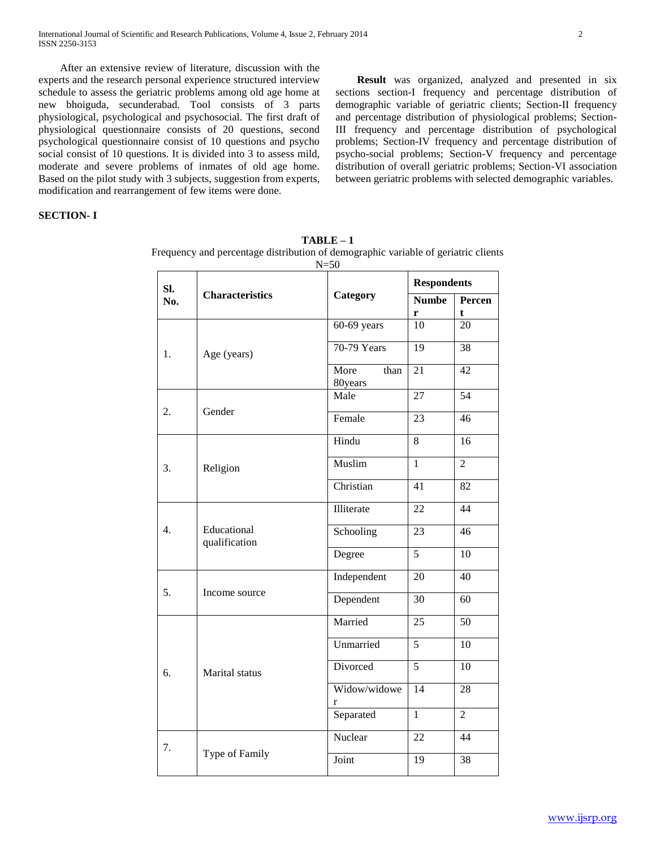After an extensive review of literature, discussion with the experts and the research personal experience structured interview schedule to assess the geriatric problems among old age home at new bhoiguda, secunderabad. Tool consists of 3 parts physiological, psychological and psychosocial. The first draft of physiological questionnaire consists of 20 questions, second psychological questionnaire consist of 10 questions and psycho social consist of 10 questions. It is divided into 3 to assess mild, moderate and severe problems of inmates of old age home. Based on the pilot study with 3 subjects, suggestion from experts, modification and rearrangement of few items were done.

 **Result** was organized, analyzed and presented in six sections section-I frequency and percentage distribution of demographic variable of geriatric clients; Section-II frequency and percentage distribution of physiological problems; Section-III frequency and percentage distribution of psychological problems; Section-IV frequency and percentage distribution of psycho-social problems; Section-V frequency and percentage distribution of overall geriatric problems; Section-VI association between geriatric problems with selected demographic variables.

# **SECTION- I**

**TABLE – 1** Frequency and percentage distribution of demographic variable of geriatric clients  $N - 50$ 

|     |                              | $1$ V $-$               |                    |                       |
|-----|------------------------------|-------------------------|--------------------|-----------------------|
| Sl. |                              |                         | <b>Respondents</b> |                       |
| No. | <b>Characteristics</b>       | Category                | <b>Numbe</b><br>r  | Percen<br>$\mathbf t$ |
|     |                              | $60-69$ years           | 10                 | $\overline{20}$       |
| 1.  | Age (years)                  | 70-79 Years             | 19                 | 38                    |
|     |                              | More<br>than<br>80years | $\overline{21}$    | 42                    |
|     |                              | Male                    | $\overline{27}$    | 54                    |
| 2.  | Gender                       | Female                  | $\overline{23}$    | 46                    |
|     |                              | Hindu                   | $\overline{8}$     | 16                    |
| 3.  | Religion                     | Muslim                  | $\overline{1}$     | $\overline{2}$        |
|     |                              | Christian               | 41                 | 82                    |
|     |                              | Illiterate              | 22                 | $\overline{44}$       |
| 4.  | Educational<br>qualification | Schooling               | 23                 | 46                    |
|     |                              | Degree                  | $\overline{5}$     | $\overline{10}$       |
|     |                              | Independent             | 20                 | 40                    |
| 5.  | Income source                | Dependent               | 30                 | 60                    |
|     |                              | Married                 | $\overline{25}$    | $\overline{50}$       |
|     |                              | Unmarried               | $\overline{5}$     | $\overline{10}$       |
| 6.  | Marital status               | Divorced                | $\overline{5}$     | 10                    |
|     |                              | Widow/widowe<br>r       | $\overline{14}$    | 28                    |
|     |                              | Separated               | $\overline{1}$     | $\overline{2}$        |
| 7.  |                              | Nuclear                 | $\overline{22}$    | 44                    |
|     | Type of Family               | Joint                   | $\overline{19}$    | $\overline{38}$       |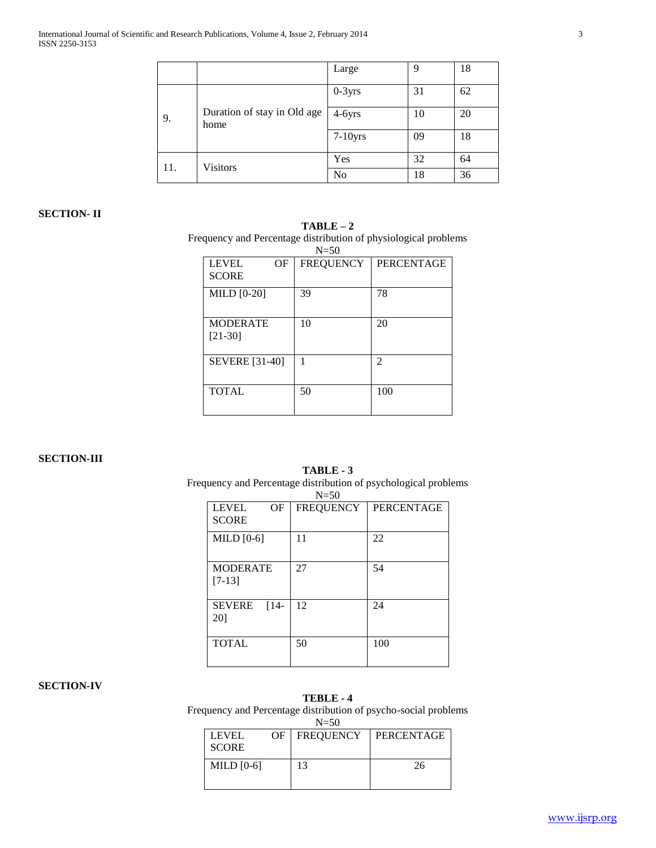|     |                                     | Large          | 9  | 18 |
|-----|-------------------------------------|----------------|----|----|
|     |                                     | $0-3yrs$       | 31 | 62 |
| 9.  | Duration of stay in Old age<br>home | $4-6yrs$       | 10 | 20 |
|     |                                     | $7-10$ yrs     | 09 | 18 |
| 11. | <b>Visitors</b>                     | Yes            | 32 | 64 |
|     |                                     | N <sub>o</sub> | 18 | 36 |

# **SECTION- II**

## **TABLE – 2**

Frequency and Percentage distribution of physiological problems

| $N = 50$              |                  |                   |  |  |
|-----------------------|------------------|-------------------|--|--|
| OF<br><b>LEVEL</b>    | <b>FREQUENCY</b> | <b>PERCENTAGE</b> |  |  |
| <b>SCORE</b>          |                  |                   |  |  |
| MILD $[0-20]$         | 39               | 78                |  |  |
| <b>MODERATE</b>       | 10               | 20                |  |  |
| $[21-30]$             |                  |                   |  |  |
| <b>SEVERE</b> [31-40] | 1                | 2                 |  |  |
| <b>TOTAL</b>          | 50               | 100               |  |  |

### **SECTION-III**

# **TABLE - 3** Frequency and Percentage distribution of psychological problems

|                                    | $N=50$           |                   |
|------------------------------------|------------------|-------------------|
| <b>LEVEL</b><br>ΟF<br><b>SCORE</b> | <b>FREQUENCY</b> | <b>PERCENTAGE</b> |
| MILD $[0-6]$                       | 11               | 22                |
| <b>MODERATE</b><br>$[7-13]$        | 27               | 54                |
| <b>SEVERE</b><br>$[14-$<br>20]     | 12               | 24                |
| <b>TOTAL</b>                       | 50               | 100               |

## **SECTION-IV**

# **TEBLE - 4**

Frequency and Percentage distribution of psycho-social problems  $N=50$ 

| .                     |    |                  |            |  |
|-----------------------|----|------------------|------------|--|
| LEVEL<br><b>SCORE</b> | OF | <b>FREQUENCY</b> | PERCENTAGE |  |
| MILD $[0-6]$          |    | 13               | 26         |  |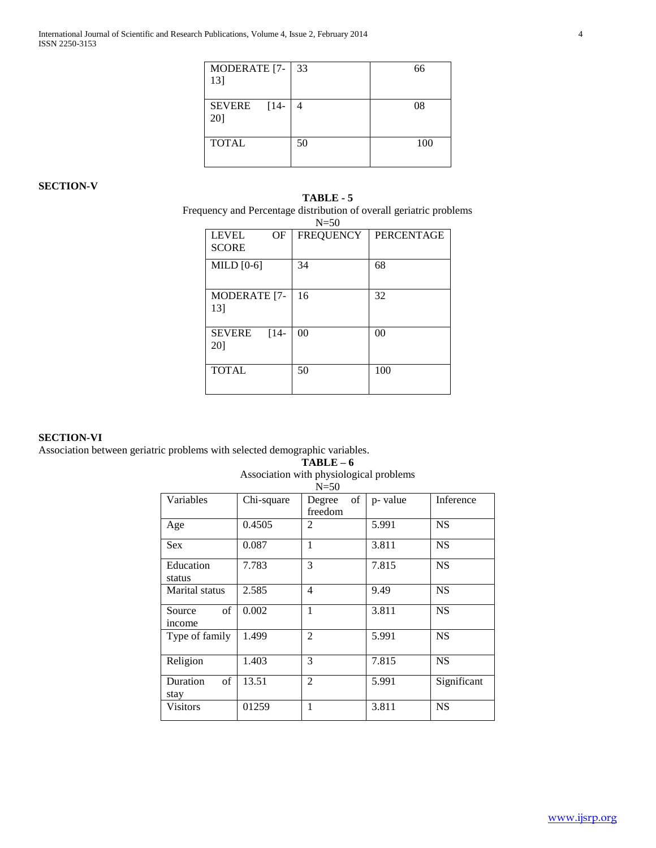| MODERATE [7-   33 |    | 66  |
|-------------------|----|-----|
| 13]               |    |     |
|                   |    |     |
| SEVERE [14-       | 4  | 08  |
| 20]               |    |     |
|                   |    |     |
| <b>TOTAL</b>      | 50 | 100 |
|                   |    |     |
|                   |    |     |

# **SECTION-V**

**TABLE - 5** Frequency and Percentage distribution of overall geriatric problems

|                                | $N=50$           |                   |
|--------------------------------|------------------|-------------------|
| <b>LEVEL</b><br>OF             | <b>FREQUENCY</b> | <b>PERCENTAGE</b> |
| <b>SCORE</b>                   |                  |                   |
| MILD $[0-6]$                   | 34               | 68                |
| <b>MODERATE</b> [7-<br>131     | 16               | 32                |
| $[14-$<br><b>SEVERE</b><br>201 | 00               | 0 <sup>0</sup>    |
| <b>TOTAL</b>                   | 50               | 100               |

### **SECTION-VI**

Association between geriatric problems with selected demographic variables.

**TABLE – 6**

Association with physiological problems  $N=50$ 

|                        |            | $1 - 30$                |         |             |
|------------------------|------------|-------------------------|---------|-------------|
| Variables              | Chi-square | of<br>Degree<br>freedom | p-value | Inference   |
| Age                    | 0.4505     | 2                       | 5.991   | <b>NS</b>   |
| <b>Sex</b>             | 0.087      | 1                       | 3.811   | <b>NS</b>   |
| Education<br>status    | 7.783      | 3                       | 7.815   | <b>NS</b>   |
| Marital status         | 2.585      | $\overline{4}$          | 9.49    | <b>NS</b>   |
| of<br>Source<br>income | 0.002      | 1                       | 3.811   | <b>NS</b>   |
| Type of family         | 1.499      | $\overline{2}$          | 5.991   | <b>NS</b>   |
| Religion               | 1.403      | 3                       | 7.815   | <b>NS</b>   |
| Duration<br>of<br>stay | 13.51      | $\overline{c}$          | 5.991   | Significant |
| <b>Visitors</b>        | 01259      | 1                       | 3.811   | <b>NS</b>   |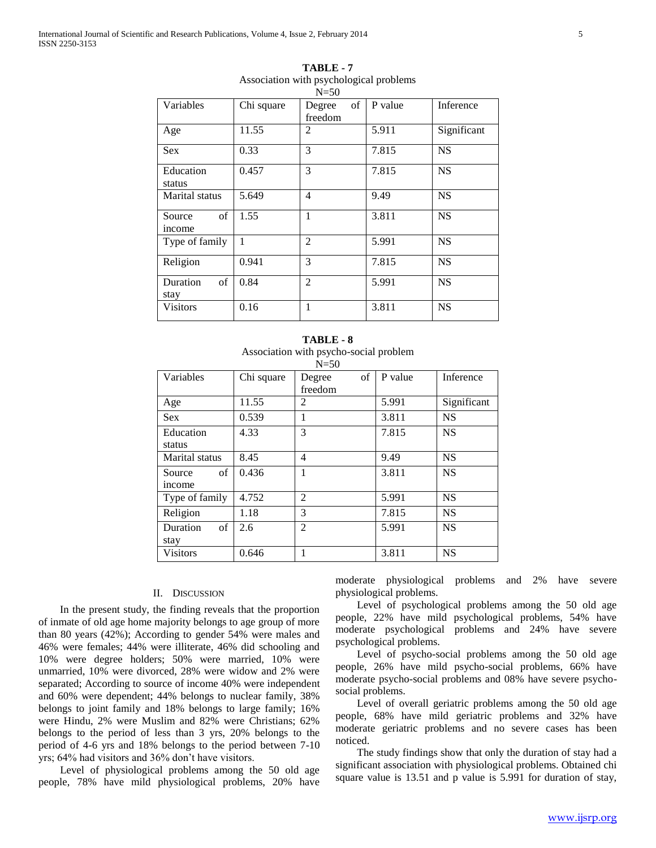|                        |            | $N=50$                  |         |             |
|------------------------|------------|-------------------------|---------|-------------|
| Variables              | Chi square | of<br>Degree<br>freedom | P value | Inference   |
| Age                    | 11.55      | 2                       | 5.911   | Significant |
| <b>Sex</b>             | 0.33       | 3                       | 7.815   | <b>NS</b>   |
| Education<br>status    | 0.457      | 3                       | 7.815   | <b>NS</b>   |
| Marital status         | 5.649      | $\overline{4}$          | 9.49    | <b>NS</b>   |
| of<br>Source<br>income | 1.55       | 1                       | 3.811   | <b>NS</b>   |
| Type of family         | 1          | 2                       | 5.991   | <b>NS</b>   |
| Religion               | 0.941      | 3                       | 7.815   | <b>NS</b>   |
| Duration<br>of<br>stay | 0.84       | $\overline{2}$          | 5.991   | <b>NS</b>   |
| Visitors               | 0.16       | 1                       | 3.811   | <b>NS</b>   |

| TABLE-7                                 |  |
|-----------------------------------------|--|
| Association with psychological problems |  |

| <b>TABLE - 8</b>                       |  |  |  |
|----------------------------------------|--|--|--|
| Association with psycho-social problem |  |  |  |
| N-50                                   |  |  |  |

|                       |            | $N=50$         |         |             |
|-----------------------|------------|----------------|---------|-------------|
| Variables             | Chi square | of<br>Degree   | P value | Inference   |
|                       |            | freedom        |         |             |
| Age                   | 11.55      | 2              | 5.991   | Significant |
| <b>Sex</b>            | 0.539      |                | 3.811   | <b>NS</b>   |
| Education             | 4.33       | 3              | 7.815   | <b>NS</b>   |
| status                |            |                |         |             |
| <b>Marital</b> status | 8.45       | $\overline{4}$ | 9.49    | <b>NS</b>   |
| of<br>Source          | 0.436      | 1              | 3.811   | <b>NS</b>   |
| income                |            |                |         |             |
| Type of family        | 4.752      | 2              | 5.991   | <b>NS</b>   |
| Religion              | 1.18       | 3              | 7.815   | <b>NS</b>   |
| of<br>Duration        | 2.6        | $\mathfrak{D}$ | 5.991   | <b>NS</b>   |
| stay                  |            |                |         |             |
| <b>Visitors</b>       | 0.646      |                | 3.811   | <b>NS</b>   |

#### II. DISCUSSION

 In the present study, the finding reveals that the proportion of inmate of old age home majority belongs to age group of more than 80 years (42%); According to gender 54% were males and 46% were females; 44% were illiterate, 46% did schooling and 10% were degree holders; 50% were married, 10% were unmarried, 10% were divorced, 28% were widow and 2% were separated; According to source of income 40% were independent and 60% were dependent; 44% belongs to nuclear family, 38% belongs to joint family and 18% belongs to large family; 16% were Hindu, 2% were Muslim and 82% were Christians; 62% belongs to the period of less than 3 yrs, 20% belongs to the period of 4-6 yrs and 18% belongs to the period between 7-10 yrs; 64% had visitors and 36% don't have visitors.

 Level of physiological problems among the 50 old age people, 78% have mild physiological problems, 20% have moderate physiological problems and 2% have severe physiological problems.

 Level of psychological problems among the 50 old age people, 22% have mild psychological problems, 54% have moderate psychological problems and 24% have severe psychological problems.

 Level of psycho-social problems among the 50 old age people, 26% have mild psycho-social problems, 66% have moderate psycho-social problems and 08% have severe psychosocial problems.

 Level of overall geriatric problems among the 50 old age people, 68% have mild geriatric problems and 32% have moderate geriatric problems and no severe cases has been noticed.

 The study findings show that only the duration of stay had a significant association with physiological problems. Obtained chi square value is 13.51 and p value is 5.991 for duration of stay,